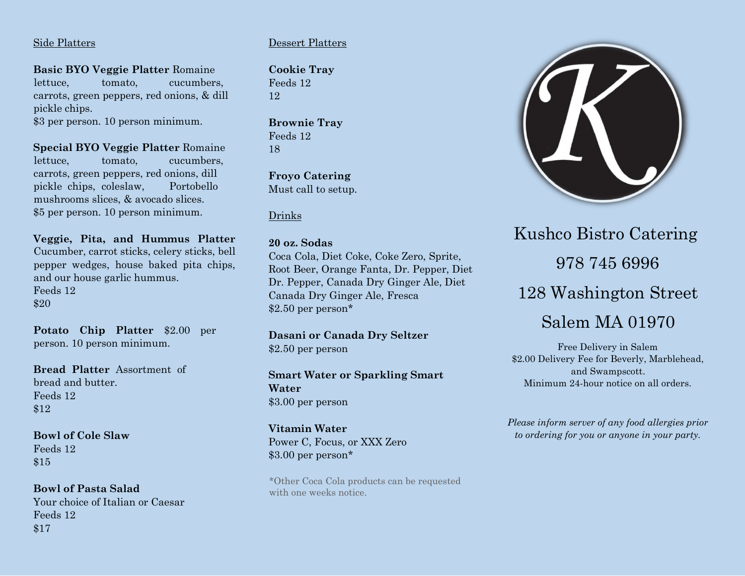## Side Platters

**Basic BYO Veggie Platter** Romaine lettuce, tomato, cucumbers, carrots, green peppers, red onions, & dill pickle chips. \$3 per person. 10 person minimum.

**Special BYO Veggie Platter** Romaine lettuce, tomato, cucumbers, carrots, green peppers, red onions, dill pickle chips, coleslaw, Portobello mushrooms slices, & avocado slices. \$5 per person. 10 person minimum.

**Veggie, Pita, and Hummus Platter**  Cucumber, carrot sticks, celery sticks, bell pepper wedges, house baked pita chips, and our house garlic hummus. Feeds 12 \$20

**Potato Chip Platter** \$2.00 per person. 10 person minimum.

**Bread Platter** Assortment of bread and butter. Feeds 12 \$12

**Bowl of Cole Slaw**  Feeds 12 \$15

**Bowl of Pasta Salad**  Your choice of Italian or Caesar Feeds 12 \$17

# Dessert Platters

**Cookie Tray**  Feeds 12 12

**Brownie Tray**  Feeds 12 18

**Froyo Catering**  Must call to setup.

# Drinks

## **20 oz. Sodas**

Coca Cola, Diet Coke, Coke Zero, Sprite, Root Beer, Orange Fanta, Dr. Pepper, Diet Dr. Pepper, Canada Dry Ginger Ale, Diet Canada Dry Ginger Ale, Fresca \$2.50 per person\*

**Dasani or Canada Dry Seltzer**  \$2.50 per person

**Smart Water or Sparkling Smart Water**  \$3.00 per person

**Vitamin Water**  Power C, Focus, or XXX Zero \$3.00 per person\*

\*Other Coca Cola products can be requested with one weeks notice.



Kushco Bistro Catering 978 745 6996 128 Washington Street Salem MA 01970

Free Delivery in Salem \$2.00 Delivery Fee for Beverly, Marblehead, and Swampscott. Minimum 24-hour notice on all orders.

*Please inform server of any food allergies prior to ordering for you or anyone in your party.*